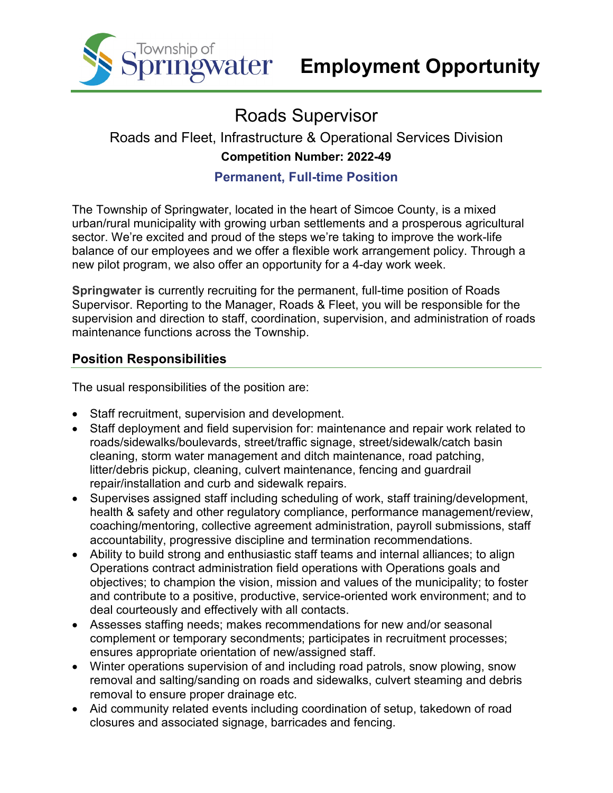

# Roads Supervisor

# Roads and Fleet, Infrastructure & Operational Services Division **Competition Number: 2022-49**

## **Permanent, Full-time Position**

The Township of Springwater, located in the heart of Simcoe County, is a mixed urban/rural municipality with growing urban settlements and a prosperous agricultural sector. We're excited and proud of the steps we're taking to improve the work-life balance of our employees and we offer a flexible work arrangement policy. Through a new pilot program, we also offer an opportunity for a 4-day work week.

**Springwater is** currently recruiting for the permanent, full-time position of Roads Supervisor. Reporting to the Manager, Roads & Fleet, you will be responsible for the supervision and direction to staff, coordination, supervision, and administration of roads maintenance functions across the Township.

# **Position Responsibilities**

The usual responsibilities of the position are:

- Staff recruitment, supervision and development.
- Staff deployment and field supervision for: maintenance and repair work related to roads/sidewalks/boulevards, street/traffic signage, street/sidewalk/catch basin cleaning, storm water management and ditch maintenance, road patching, litter/debris pickup, cleaning, culvert maintenance, fencing and guardrail repair/installation and curb and sidewalk repairs.
- Supervises assigned staff including scheduling of work, staff training/development, health & safety and other regulatory compliance, performance management/review, coaching/mentoring, collective agreement administration, payroll submissions, staff accountability, progressive discipline and termination recommendations.
- Ability to build strong and enthusiastic staff teams and internal alliances; to align Operations contract administration field operations with Operations goals and objectives; to champion the vision, mission and values of the municipality; to foster and contribute to a positive, productive, service-oriented work environment; and to deal courteously and effectively with all contacts.
- Assesses staffing needs; makes recommendations for new and/or seasonal complement or temporary secondments; participates in recruitment processes; ensures appropriate orientation of new/assigned staff.
- Winter operations supervision of and including road patrols, snow plowing, snow removal and salting/sanding on roads and sidewalks, culvert steaming and debris removal to ensure proper drainage etc.
- Aid community related events including coordination of setup, takedown of road closures and associated signage, barricades and fencing.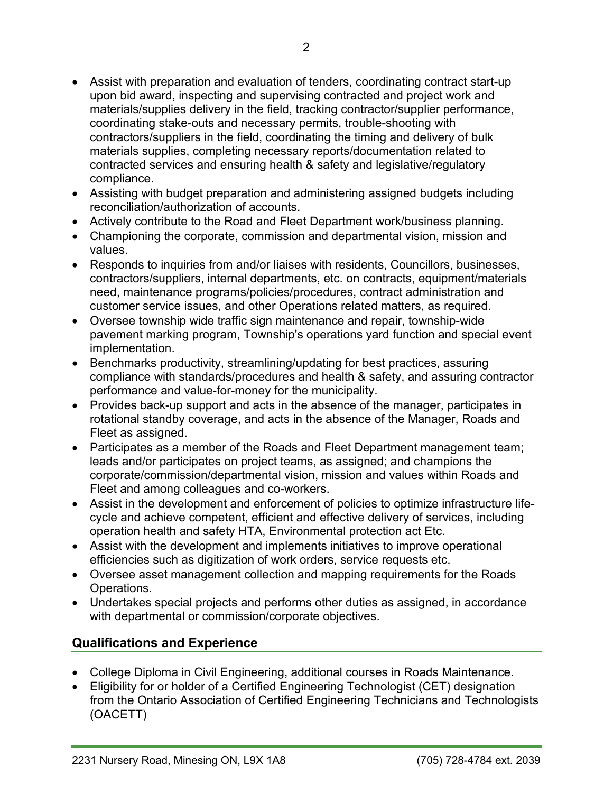- Assist with preparation and evaluation of tenders, coordinating contract start-up upon bid award, inspecting and supervising contracted and project work and materials/supplies delivery in the field, tracking contractor/supplier performance, coordinating stake-outs and necessary permits, trouble-shooting with contractors/suppliers in the field, coordinating the timing and delivery of bulk materials supplies, completing necessary reports/documentation related to contracted services and ensuring health & safety and legislative/regulatory compliance.
- Assisting with budget preparation and administering assigned budgets including reconciliation/authorization of accounts.
- Actively contribute to the Road and Fleet Department work/business planning.
- Championing the corporate, commission and departmental vision, mission and values.
- Responds to inquiries from and/or liaises with residents, Councillors, businesses, contractors/suppliers, internal departments, etc. on contracts, equipment/materials need, maintenance programs/policies/procedures, contract administration and customer service issues, and other Operations related matters, as required.
- Oversee township wide traffic sign maintenance and repair, township-wide pavement marking program, Township's operations yard function and special event implementation.
- Benchmarks productivity, streamlining/updating for best practices, assuring compliance with standards/procedures and health & safety, and assuring contractor performance and value-for-money for the municipality.
- Provides back-up support and acts in the absence of the manager, participates in rotational standby coverage, and acts in the absence of the Manager, Roads and Fleet as assigned.
- Participates as a member of the Roads and Fleet Department management team; leads and/or participates on project teams, as assigned; and champions the corporate/commission/departmental vision, mission and values within Roads and Fleet and among colleagues and co-workers.
- Assist in the development and enforcement of policies to optimize infrastructure lifecycle and achieve competent, efficient and effective delivery of services, including operation health and safety HTA, Environmental protection act Etc.
- Assist with the development and implements initiatives to improve operational efficiencies such as digitization of work orders, service requests etc.
- Oversee asset management collection and mapping requirements for the Roads Operations.
- Undertakes special projects and performs other duties as assigned, in accordance with departmental or commission/corporate objectives.

## **Qualifications and Experience**

- College Diploma in Civil Engineering, additional courses in Roads Maintenance.
- Eligibility for or holder of a Certified Engineering Technologist (CET) designation from the Ontario Association of Certified Engineering Technicians and Technologists (OACETT)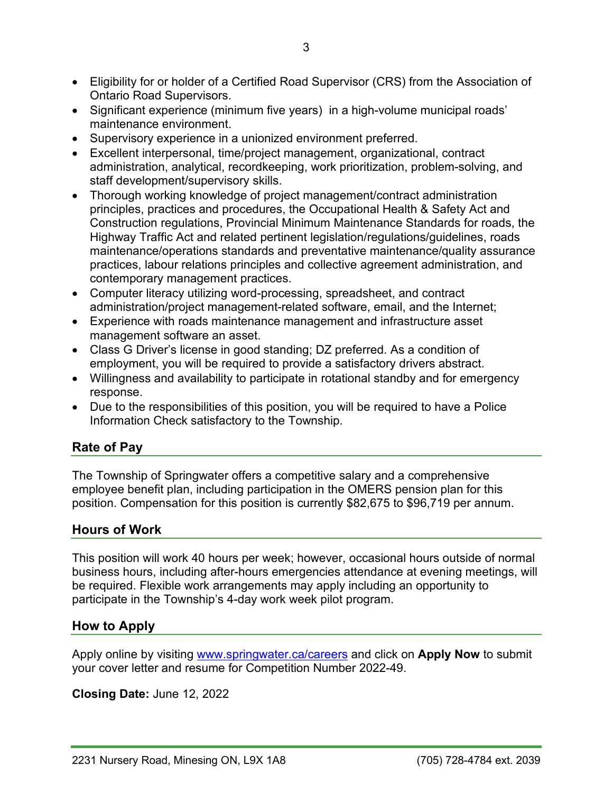- Eligibility for or holder of a Certified Road Supervisor (CRS) from the Association of Ontario Road Supervisors.
- Significant experience (minimum five years) in a high-volume municipal roads' maintenance environment.
- Supervisory experience in a unionized environment preferred.
- Excellent interpersonal, time/project management, organizational, contract administration, analytical, recordkeeping, work prioritization, problem-solving, and staff development/supervisory skills.
- Thorough working knowledge of project management/contract administration principles, practices and procedures, the Occupational Health & Safety Act and Construction regulations, Provincial Minimum Maintenance Standards for roads, the Highway Traffic Act and related pertinent legislation/regulations/guidelines, roads maintenance/operations standards and preventative maintenance/quality assurance practices, labour relations principles and collective agreement administration, and contemporary management practices.
- Computer literacy utilizing word-processing, spreadsheet, and contract administration/project management-related software, email, and the Internet;
- Experience with roads maintenance management and infrastructure asset management software an asset.
- Class G Driver's license in good standing; DZ preferred. As a condition of employment, you will be required to provide a satisfactory drivers abstract.
- Willingness and availability to participate in rotational standby and for emergency response.
- Due to the responsibilities of this position, you will be required to have a Police Information Check satisfactory to the Township.

## **Rate of Pay**

The Township of Springwater offers a competitive salary and a comprehensive employee benefit plan, including participation in the OMERS pension plan for this position. Compensation for this position is currently \$82,675 to \$96,719 per annum.

#### **Hours of Work**

This position will work 40 hours per week; however, occasional hours outside of normal business hours, including after-hours emergencies attendance at evening meetings, will be required. Flexible work arrangements may apply including an opportunity to participate in the Township's 4-day work week pilot program.

#### **How to Apply**

Apply online by visiting [www.springwater.ca/careers](http://www.springwater.ca/careers) and click on **Apply Now** to submit your cover letter and resume for Competition Number 2022-49.

**Closing Date:** June 12, 2022